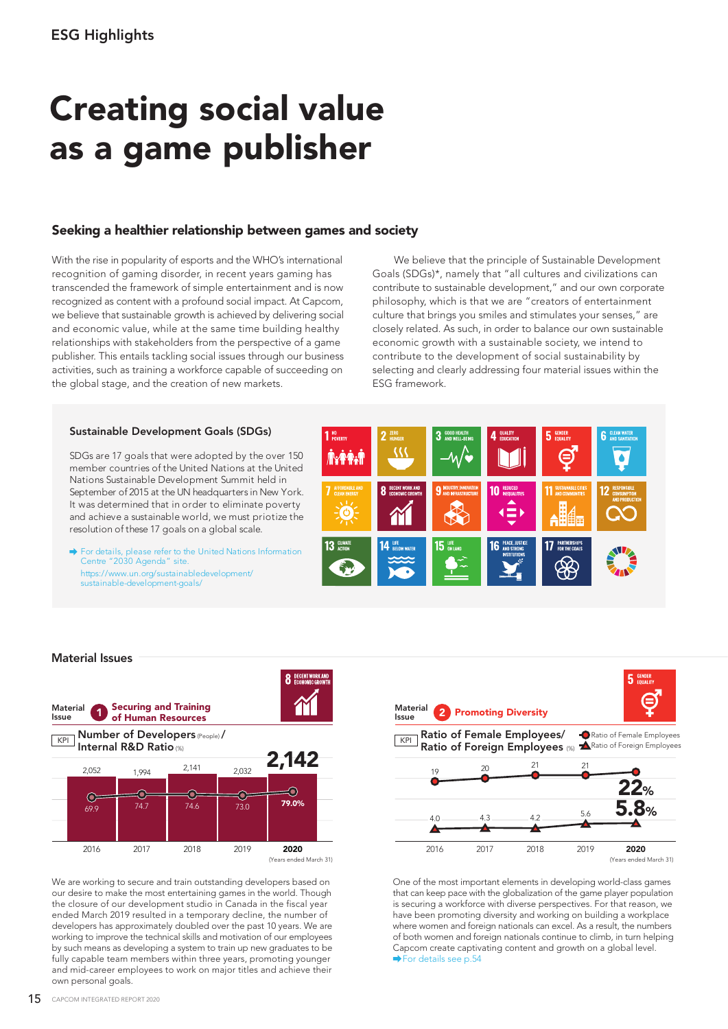# Creating social value as a game publisher

# Seeking a healthier relationship between games and society

With the rise in popularity of esports and the WHO's international recognition of gaming disorder, in recent years gaming has transcended the framework of simple entertainment and is now recognized as content with a profound social impact. At Capcom, we believe that sustainable growth is achieved by delivering social and economic value, while at the same time building healthy relationships with stakeholders from the perspective of a game publisher. This entails tackling social issues through our business activities, such as training a workforce capable of succeeding on the global stage, and the creation of new markets.

 We believe that the principle of Sustainable Development Goals (SDGs)\*, namely that "all cultures and civilizations can contribute to sustainable development," and our own corporate philosophy, which is that we are "creators of entertainment culture that brings you smiles and stimulates your senses," are closely related. As such, in order to balance our own sustainable economic growth with a sustainable society, we intend to contribute to the development of social sustainability by selecting and clearly addressing four material issues within the ESG framework.

## Sustainable Development Goals (SDGs)

SDGs are 17 goals that were adopted by the over 150 member countries of the United Nations at the United Nations Sustainable Development Summit held in September of 2015 at the UN headquarters in New York. It was determined that in order to eliminate poverty and achieve a sustainable world, we must priotize the resolution of these 17 goals on a global scale.

For details, please refer to the United Nations Information Centre "2030 Agenda" site. https://www.un.org/sustainabledevelopment/ sustainable-development-goals/



### Material Issues



We are working to secure and train outstanding developers based on our desire to make the most entertaining games in the world. Though the closure of our development studio in Canada in the fiscal year ended March 2019 resulted in a temporary decline, the number of developers has approximately doubled over the past 10 years. We are working to improve the technical skills and motivation of our employees by such means as developing a system to train up new graduates to be fully capable team members within three years, promoting younger and mid-career employees to work on major titles and achieve their own personal goals.



One of the most important elements in developing world-class games that can keep pace with the globalization of the game player population is securing a workforce with diverse perspectives. For that reason, we have been promoting diversity and working on building a workplace where women and foreign nationals can excel. As a result, the numbers of both women and foreign nationals continue to climb, in turn helping Capcom create captivating content and growth on a global level. For details see p.54